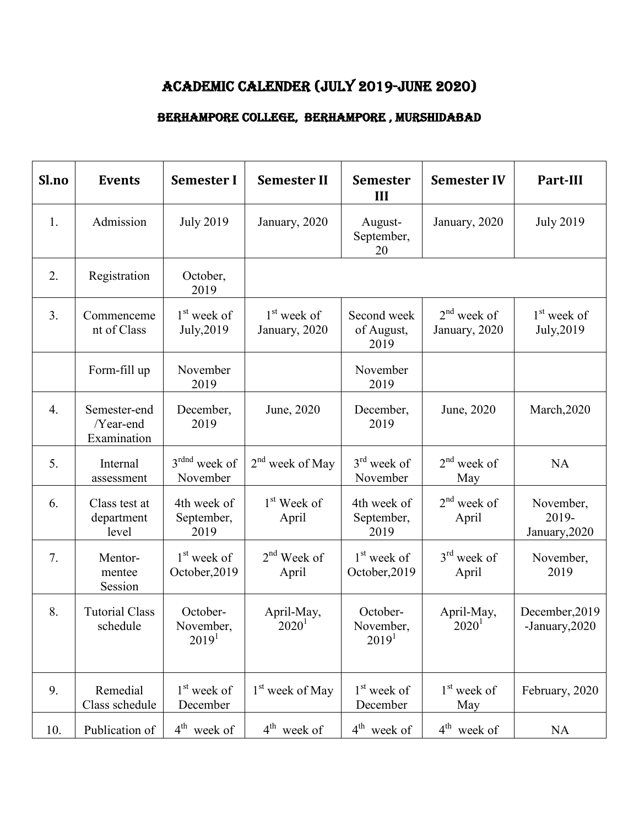## ACADEMIC CALENDER (JULY 2019-JUNE 2020)

## BERHAMPORE COLLEGE, BERHAMPORE , MURSHIDABAD

| Sl.no | <b>Events</b>                            | <b>Semester I</b>                          | <b>Semester II</b>               | <b>Semester</b><br>III                     | <b>Semester IV</b>             | Part-III                            |
|-------|------------------------------------------|--------------------------------------------|----------------------------------|--------------------------------------------|--------------------------------|-------------------------------------|
| 1.    | Admission                                | <b>July 2019</b>                           | January, 2020                    | August-<br>September,<br>20                | January, 2020                  | <b>July 2019</b>                    |
| 2.    | Registration                             | October,<br>2019                           |                                  |                                            |                                |                                     |
| 3.    | Commenceme<br>nt of Class                | 1 <sup>st</sup> week of<br>July, 2019      | $1st$ week of<br>January, 2020   | Second week<br>of August,<br>2019          | $2nd$ week of<br>January, 2020 | $1st$ week of<br>July, 2019         |
|       | Form-fill up                             | November<br>2019                           |                                  | November<br>2019                           |                                |                                     |
| 4.    | Semester-end<br>/Year-end<br>Examination | December,<br>2019                          | June, 2020                       | December,<br>2019                          | June, 2020                     | March, 2020                         |
| 5.    | Internal<br>assessment                   | 3 <sup>rdnd</sup> week of<br>November      | $2nd$ week of May                | $3rd$ week of<br>November                  | $2nd$ week of<br>May           | <b>NA</b>                           |
| 6.    | Class test at<br>department<br>level     | 4th week of<br>September,<br>2019          | 1 <sup>st</sup> Week of<br>April | 4th week of<br>September,<br>2019          | $2nd$ week of<br>April         | November,<br>2019-<br>January, 2020 |
| 7.    | Mentor-<br>mentee<br>Session             | 1 <sup>st</sup> week of<br>October, 2019   | $2nd$ Week of<br>April           | $1st$ week of<br>October, 2019             | $3rd$ week of<br>April         | November,<br>2019                   |
| 8.    | <b>Tutorial Class</b><br>schedule        | October-<br>November,<br>2019 <sup>1</sup> | April-May,<br>$2020^1$           | October-<br>November,<br>2019 <sup>1</sup> | April-May,<br>$2020^1$         | December, 2019<br>-January, 2020    |
| 9.    | Remedial<br>Class schedule               | 1 <sup>st</sup> week of<br>December        | 1 <sup>st</sup> week of May      | $1st$ week of<br>December                  | $1st$ week of<br>May           | February, 2020                      |
| 10.   | Publication of                           | $4th$ week of                              | $4th$ week of                    | $4th$ week of                              | $4th$ week of                  | <b>NA</b>                           |